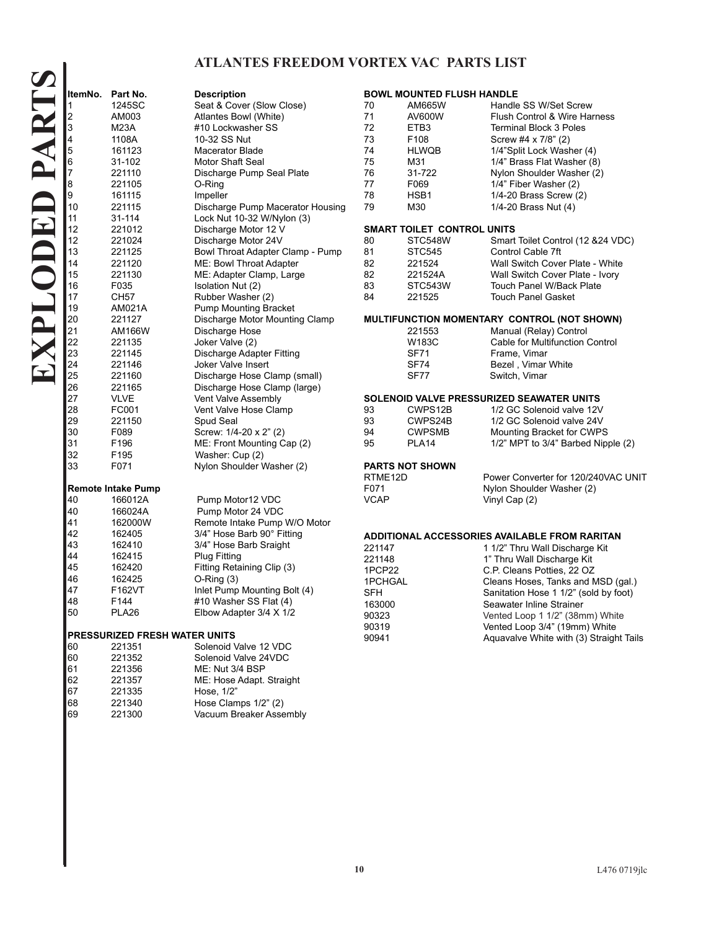## **ATLANTES FREEDOM VORTEX VAC PARTS LIST**

221335 Hose, 1/2"

 221340 Hose Clamps 1/2" (2) 221300 Vacuum Breaker Assembly

|                               | ItemNo. Part No.          | <b>Description</b>               | <b>BOWL MOUNTED FLUSH HANDLE</b>              |                   |                                                          |
|-------------------------------|---------------------------|----------------------------------|-----------------------------------------------|-------------------|----------------------------------------------------------|
| 1                             | 1245SC                    | Seat & Cover (Slow Close)        | 70                                            | AM665W            | Handle SS W/Set Screw                                    |
| 2                             | AM003                     | Atlantes Bowl (White)            | 71                                            | AV600W            | Flush Control & Wire Harness                             |
| 3                             | <b>M23A</b>               | #10 Lockwasher SS                | 72                                            | ETB <sub>3</sub>  | <b>Terminal Block 3 Poles</b>                            |
| 4                             | 1108A                     | 10-32 SS Nut                     | 73                                            | F108              | Screw #4 x 7/8" (2)                                      |
| 5                             | 161123                    | <b>Macerator Blade</b>           | 74                                            | <b>HLWQB</b>      | 1/4"Split Lock Washer (4)                                |
| 6                             | 31-102                    | Motor Shaft Seal                 | 75                                            | M31               | 1/4" Brass Flat Washer (8)                               |
| 7                             | 221110                    | Discharge Pump Seal Plate        | 76                                            | 31-722            | Nylon Shoulder Washer (2)                                |
| 8                             | 221105                    | O-Ring                           | 77                                            | F069              | 1/4" Fiber Washer (2)                                    |
| 9                             | 161115                    | Impeller                         | 78                                            | HSB1              | 1/4-20 Brass Screw (2)                                   |
| 10                            | 221115                    | Discharge Pump Macerator Housing | 79                                            | M30               | 1/4-20 Brass Nut (4)                                     |
| 11                            | 31-114                    | Lock Nut 10-32 W/Nylon (3)       |                                               |                   |                                                          |
| 12                            | 221012                    | Discharge Motor 12 V             | <b>SMART TOILET CONTROL UNITS</b>             |                   |                                                          |
| 12                            | 221024                    | Discharge Motor 24V              | 80                                            | STC548W           | Smart Toilet Control (12 & 24 VDC)                       |
| 13                            | 221125                    | Bowl Throat Adapter Clamp - Pump | 81                                            | <b>STC545</b>     | Control Cable 7ft                                        |
| 14                            | 221120                    | ME: Bowl Throat Adapter          | 82                                            | 221524            | Wall Switch Cover Plate - White                          |
| 15                            | 221130                    | ME: Adapter Clamp, Large         | 82                                            | 221524A           | Wall Switch Cover Plate - Ivory                          |
| 16                            | F035                      | Isolation Nut (2)                | 83                                            | STC543W           | <b>Touch Panel W/Back Plate</b>                          |
| 17                            | CH57                      | Rubber Washer (2)                | 84                                            | 221525            | <b>Touch Panel Gasket</b>                                |
| 19                            | AM021A                    | <b>Pump Mounting Bracket</b>     |                                               |                   |                                                          |
| 20                            | 221127                    | Discharge Motor Mounting Clamp   | MULTIFUNCTION MOMENTARY CONTROL (NOT SHOWN)   |                   |                                                          |
| 21                            | AM166W                    | Discharge Hose                   |                                               | 221553            | Manual (Relay) Control                                   |
| 22                            | 221135                    | Joker Valve (2)                  |                                               | W183C             | Cable for Multifunction Control                          |
| 23                            | 221145                    | Discharge Adapter Fitting        |                                               | <b>SF71</b>       | Frame, Vimar                                             |
| 24                            | 221146                    | Joker Valve Insert               |                                               | <b>SF74</b>       | Bezel, Vimar White                                       |
| 25                            | 221160                    | Discharge Hose Clamp (small)     |                                               | SF77              | Switch, Vimar                                            |
| 26                            | 221165                    | Discharge Hose Clamp (large)     |                                               |                   |                                                          |
| 27                            | <b>VLVE</b>               | Vent Valve Assembly              | SOLENOID VALVE PRESSURIZED SEAWATER UNITS     |                   |                                                          |
| 28                            | FC001                     | Vent Valve Hose Clamp            | 93                                            | CWPS12B           | 1/2 GC Solenoid valve 12V                                |
| 29                            | 221150                    | Spud Seal                        | 93                                            | CWPS24B           | 1/2 GC Solenoid valve 24V                                |
| 30                            | F089                      | Screw: 1/4-20 x 2" (2)           | 94                                            | <b>CWPSMB</b>     | Mounting Bracket for CWPS                                |
| 31                            | F196                      | ME: Front Mounting Cap (2)       | 95                                            | PLA <sub>14</sub> | 1/2" MPT to 3/4" Barbed Nipple (2)                       |
| 32                            | F <sub>195</sub>          | Washer: Cup (2)                  |                                               |                   |                                                          |
| 33                            | F071                      | Nylon Shoulder Washer (2)        | <b>PARTS NOT SHOWN</b>                        |                   |                                                          |
|                               |                           |                                  | RTME12D                                       |                   | Power Converter for 120/240VAC UNIT                      |
|                               | <b>Remote Intake Pump</b> |                                  | F071                                          |                   | Nylon Shoulder Washer (2)                                |
| 40                            | 166012A                   | Pump Motor12 VDC                 | VCAP                                          |                   | Vinyl Cap (2)                                            |
| 40                            | 166024A                   | Pump Motor 24 VDC                |                                               |                   |                                                          |
| 41                            | 162000W                   | Remote Intake Pump W/O Motor     |                                               |                   |                                                          |
| 42                            | 162405                    | 3/4" Hose Barb 90° Fitting       | ADDITIONAL ACCESSORIES AVAILABLE FROM RARITAN |                   |                                                          |
| 43                            | 162410                    | 3/4" Hose Barb Sraight           | 221147                                        |                   |                                                          |
| 44                            | 162415                    | <b>Plug Fitting</b>              |                                               |                   | 1 1/2" Thru Wall Discharge Kit                           |
| 45                            | 162420                    | Fitting Retaining Clip (3)       | 221148<br>1PCP22                              |                   | 1" Thru Wall Discharge Kit<br>C.P. Cleans Potties, 22 OZ |
| 46                            | 162425                    | $O-Ring(3)$                      | 1PCHGAL                                       |                   |                                                          |
| 47                            | F162VT                    | Inlet Pump Mounting Bolt (4)     | <b>SFH</b>                                    |                   | Cleans Hoses, Tanks and MSD (gal.)                       |
| 48                            | F144                      | #10 Washer SS Flat (4)           |                                               |                   | Sanitation Hose 1 1/2" (sold by foot)                    |
| 50                            | PLA <sub>26</sub>         | Elbow Adapter 3/4 X 1/2          | 163000                                        |                   | Seawater Inline Strainer                                 |
|                               |                           |                                  | 90323                                         |                   | Vented Loop 1 1/2" (38mm) White                          |
| PRESSURIZED FRESH WATER UNITS |                           |                                  | 90319                                         |                   | Vented Loop 3/4" (19mm) White                            |
| 60                            | 221351                    | Solenoid Valve 12 VDC            | 90941                                         |                   | Aquavalve White with (3) Straight Tails                  |
| 60                            | 221352                    | Solenoid Valve 24VDC             |                                               |                   |                                                          |
| 61                            | 221356                    | ME: Nut 3/4 BSP                  |                                               |                   |                                                          |
| 62                            | 221357                    | ME: Hose Adapt. Straight         |                                               |                   |                                                          |
| 67                            | 221335                    | Hose, 1/2"                       |                                               |                   |                                                          |
|                               |                           |                                  |                                               |                   |                                                          |